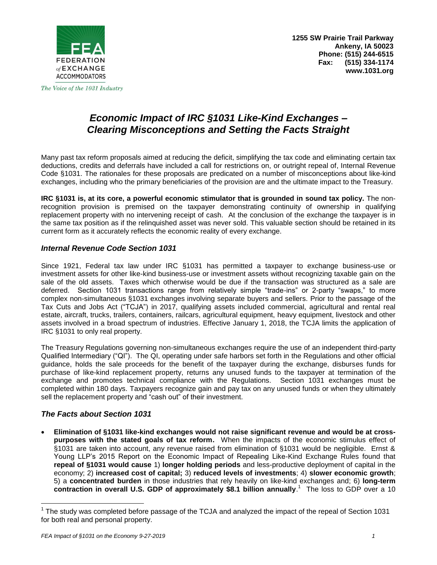

The Voice of the 1031 Industry

# *Economic Impact of IRC §1031 Like-Kind Exchanges – Clearing Misconceptions and Setting the Facts Straight*

Many past tax reform proposals aimed at reducing the deficit, simplifying the tax code and eliminating certain tax deductions, credits and deferrals have included a call for restrictions on, or outright repeal of, Internal Revenue Code §1031. The rationales for these proposals are predicated on a number of misconceptions about like-kind exchanges, including who the primary beneficiaries of the provision are and the ultimate impact to the Treasury.

**IRC §1031 is, at its core, a powerful economic stimulator that is grounded in sound tax policy.** The nonrecognition provision is premised on the taxpayer demonstrating continuity of ownership in qualifying replacement property with no intervening receipt of cash. At the conclusion of the exchange the taxpayer is in the same tax position as if the relinquished asset was never sold. This valuable section should be retained in its current form as it accurately reflects the economic reality of every exchange.

## *Internal Revenue Code Section 1031*

Since 1921, Federal tax law under IRC §1031 has permitted a taxpayer to exchange business-use or investment assets for other like-kind business-use or investment assets without recognizing taxable gain on the sale of the old assets. Taxes which otherwise would be due if the transaction was structured as a sale are deferred. Section 1031 transactions range from relatively simple "trade-ins" or 2-party "swaps," to more complex non-simultaneous §1031 exchanges involving separate buyers and sellers. Prior to the passage of the Tax Cuts and Jobs Act ("TCJA") in 2017, qualifying assets included commercial, agricultural and rental real estate, aircraft, trucks, trailers, containers, railcars, agricultural equipment, heavy equipment, livestock and other assets involved in a broad spectrum of industries. Effective January 1, 2018, the TCJA limits the application of IRC §1031 to only real property.

The Treasury Regulations governing non-simultaneous exchanges require the use of an independent third-party Qualified Intermediary ("QI"). The QI, operating under safe harbors set forth in the Regulations and other official guidance, holds the sale proceeds for the benefit of the taxpayer during the exchange, disburses funds for purchase of like-kind replacement property, returns any unused funds to the taxpayer at termination of the exchange and promotes technical compliance with the Regulations. Section 1031 exchanges must be completed within 180 days. Taxpayers recognize gain and pay tax on any unused funds or when they ultimately sell the replacement property and "cash out" of their investment.

## *The Facts about Section 1031*

 **Elimination of §1031 like-kind exchanges would not raise significant revenue and would be at crosspurposes with the stated goals of tax reform.** When the impacts of the economic stimulus effect of §1031 are taken into account, any revenue raised from elimination of §1031 would be negligible. Ernst & Young LLP's 2015 Report on the Economic Impact of Repealing Like-Kind Exchange Rules found that **repeal of §1031 would cause** 1) **longer holding periods** and less-productive deployment of capital in the economy; 2) **increased cost of capital;** 3) **reduced levels of investments**; 4) **slower economic growth**; 5) a **concentrated burden** in those industries that rely heavily on like-kind exchanges and; 6) **long-term**  contraction in overall U.S. GDP of approximately \$8.1 billion annually.<sup>1</sup> The loss to GDP over a 10

 $\overline{a}$ 

 $1$  The study was completed before passage of the TCJA and analyzed the impact of the repeal of Section 1031 for both real and personal property.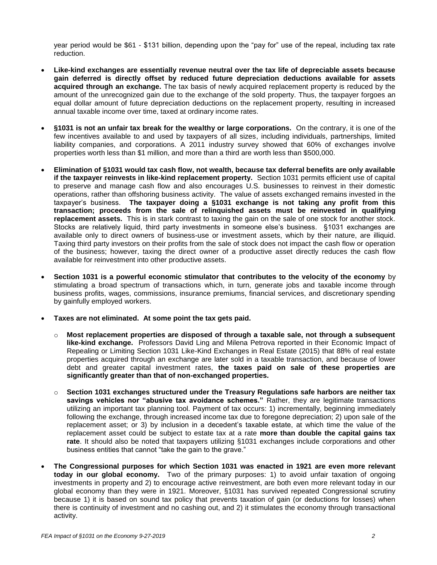year period would be \$61 - \$131 billion, depending upon the "pay for" use of the repeal, including tax rate reduction.

- **Like-kind exchanges are essentially revenue neutral over the tax life of depreciable assets because gain deferred is directly offset by reduced future depreciation deductions available for assets acquired through an exchange.** The tax basis of newly acquired replacement property is reduced by the amount of the unrecognized gain due to the exchange of the sold property. Thus, the taxpayer forgoes an equal dollar amount of future depreciation deductions on the replacement property, resulting in increased annual taxable income over time, taxed at ordinary income rates.
- **§1031 is not an unfair tax break for the wealthy or large corporations.** On the contrary, it is one of the few incentives available to and used by taxpayers of all sizes, including individuals, partnerships, limited liability companies, and corporations. A 2011 industry survey showed that 60% of exchanges involve properties worth less than \$1 million, and more than a third are worth less than \$500,000.
- **Elimination of §1031 would tax cash flow, not wealth, because tax deferral benefits are only available if the taxpayer reinvests in like-kind replacement property.** Section 1031 permits efficient use of capital to preserve and manage cash flow and also encourages U.S. businesses to reinvest in their domestic operations, rather than offshoring business activity. The value of assets exchanged remains invested in the taxpayer's business. **The taxpayer doing a §1031 exchange is not taking any profit from this transaction; proceeds from the sale of relinquished assets must be reinvested in qualifying replacement assets.** This is in stark contrast to taxing the gain on the sale of one stock for another stock. Stocks are relatively liquid, third party investments in someone else's business. §1031 exchanges are available only to direct owners of business-use or investment assets, which by their nature, are illiquid. Taxing third party investors on their profits from the sale of stock does not impact the cash flow or operation of the business; however, taxing the direct owner of a productive asset directly reduces the cash flow available for reinvestment into other productive assets.
- **Section 1031 is a powerful economic stimulator that contributes to the velocity of the economy** by stimulating a broad spectrum of transactions which, in turn, generate jobs and taxable income through business profits, wages, commissions, insurance premiums, financial services, and discretionary spending by gainfully employed workers.
- **Taxes are not eliminated. At some point the tax gets paid.**
	- o **Most replacement properties are disposed of through a taxable sale, not through a subsequent like-kind exchange.** Professors David Ling and Milena Petrova reported in their Economic Impact of Repealing or Limiting Section 1031 Like-Kind Exchanges in Real Estate (2015) that 88% of real estate properties acquired through an exchange are later sold in a taxable transaction, and because of lower debt and greater capital investment rates, **the taxes paid on sale of these properties are significantly greater than that of non-exchanged properties.**
	- o **Section 1031 exchanges structured under the Treasury Regulations safe harbors are neither tax savings vehicles nor "abusive tax avoidance schemes."** Rather, they are legitimate transactions utilizing an important tax planning tool. Payment of tax occurs: 1) incrementally, beginning immediately following the exchange, through increased income tax due to foregone depreciation; 2) upon sale of the replacement asset; or 3) by inclusion in a decedent's taxable estate, at which time the value of the replacement asset could be subject to estate tax at a rate **more than double the capital gains tax rate**. It should also be noted that taxpayers utilizing §1031 exchanges include corporations and other business entities that cannot "take the gain to the grave."
- **The Congressional purposes for which Section 1031 was enacted in 1921 are even more relevant today in our global economy.** Two of the primary purposes: 1) to avoid unfair taxation of ongoing investments in property and 2) to encourage active reinvestment, are both even more relevant today in our global economy than they were in 1921. Moreover, §1031 has survived repeated Congressional scrutiny because 1) it is based on sound tax policy that prevents taxation of gain (or deductions for losses) when there is continuity of investment and no cashing out, and 2) it stimulates the economy through transactional activity.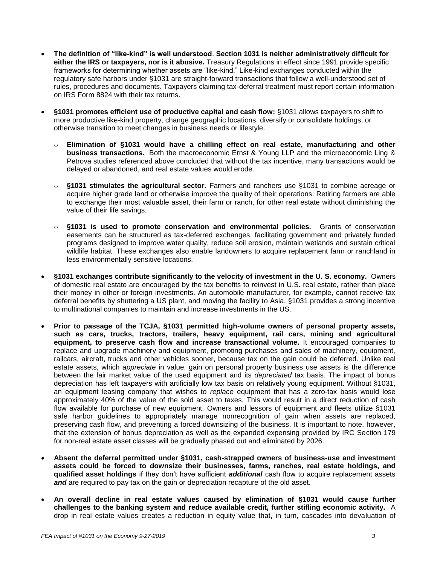- **The definition of "like-kind" is well understood**. **Section 1031 is neither administratively difficult for either the IRS or taxpayers, nor is it abusive.** Treasury Regulations in effect since 1991 provide specific frameworks for determining whether assets are "like-kind." Like-kind exchanges conducted within the regulatory safe harbors under §1031 are straight-forward transactions that follow a well-understood set of rules, procedures and documents. Taxpayers claiming tax-deferral treatment must report certain information on IRS Form 8824 with their tax returns.
- **§1031 promotes efficient use of productive capital and cash flow:** §1031 allows **t**axpayers to shift to more productive like-kind property, change geographic locations, diversify or consolidate holdings, or otherwise transition to meet changes in business needs or lifestyle.
	- o **Elimination of §1031 would have a chilling effect on real estate, manufacturing and other business transactions.** Both the macroeconomic Ernst & Young LLP and the microeconomic Ling & Petrova studies referenced above concluded that without the tax incentive, many transactions would be delayed or abandoned, and real estate values would erode.
	- o **§1031 stimulates the agricultural sector.** Farmers and ranchers use §1031 to combine acreage or acquire higher grade land or otherwise improve the quality of their operations. Retiring farmers are able to exchange their most valuable asset, their farm or ranch, for other real estate without diminishing the value of their life savings.
	- o **§1031 is used to promote conservation and environmental policies.** Grants of conservation easements can be structured as tax-deferred exchanges, facilitating government and privately funded programs designed to improve water quality, reduce soil erosion, maintain wetlands and sustain critical wildlife habitat. These exchanges also enable landowners to acquire replacement farm or ranchland in less environmentally sensitive locations.
- **§1031 exchanges contribute significantly to the velocity of investment in the U. S. economy.** Owners of domestic real estate are encouraged by the tax benefits to reinvest in U.S. real estate, rather than place their money in other or foreign investments. An automobile manufacturer, for example, cannot receive tax deferral benefits by shuttering a US plant, and moving the facility to Asia. §1031 provides a strong incentive to multinational companies to maintain and increase investments in the US.
- **Prior to passage of the TCJA, §1031 permitted high-volume owners of personal property assets, such as cars, trucks, tractors, trailers, heavy equipment, rail cars, mining and agricultural equipment, to preserve cash flow and increase transactional volume.** It encouraged companies to replace and upgrade machinery and equipment, promoting purchases and sales of machinery, equipment, railcars, aircraft, trucks and other vehicles sooner, because tax on the gain could be deferred. Unlike real estate assets, which *appreciate* in value, gain on personal property business use assets is the difference between the fair market value of the used equipment and its *depreciated* tax basis. The impact of bonus depreciation has left taxpayers with artificially low tax basis on relatively young equipment. Without §1031, an equipment leasing company that wishes to *replace* equipment that has a zero-tax basis would lose approximately 40% of the value of the sold asset to taxes. This would result in a direct reduction of cash flow available for purchase of new equipment. Owners and lessors of equipment and fleets utilize §1031 safe harbor guidelines to appropriately manage nonrecognition of gain when assets are replaced, preserving cash flow, and preventing a forced downsizing of the business. It is important to note, however, that the extension of bonus depreciation as well as the expanded expensing provided by IRC Section 179 for non-real estate asset classes will be gradually phased out and eliminated by 2026.
- **Absent the deferral permitted under §1031, cash-strapped owners of business-use and investment assets could be forced to downsize their businesses, farms, ranches, real estate holdings, and qualified asset holdings** if they don't have sufficient *additional* cash flow to acquire replacement assets **and** are required to pay tax on the gain or depreciation recapture of the old asset.
- **An overall decline in real estate values caused by elimination of §1031 would cause further challenges to the banking system and reduce available credit, further stifling economic activity.** A drop in real estate values creates a reduction in equity value that, in turn, cascades into devaluation of